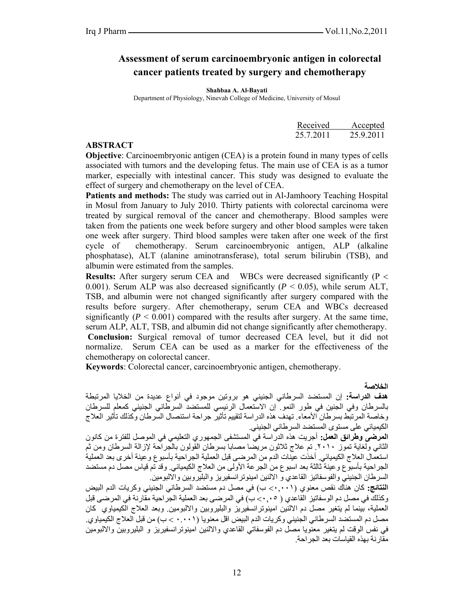# **Assessment of serum carcinoembryonic antigen in colorectal cancer patients treated by surgery and chemotherapy**

**Shahbaa A. Al-Bayati** 

Department of Physiology, Ninevah College of Medicine, University of Mosul

|                             |           | Received Accepted |
|-----------------------------|-----------|-------------------|
|                             | 25.7.2011 | 25.9.2011         |
| $\lambda$ DOMD $\lambda$ Om |           |                   |

### **ABSTRACT**

**Objective**: Carcinoembryonic antigen (CEA) is a protein found in many types of cells associated with tumors and the developing fetus. The main use of CEA is as a tumor marker, especially with intestinal cancer. This study was designed to evaluate the effect of surgery and chemotherapy on the level of CEA.

**Patients and methods:** The study was carried out in Al-Jamhoory Teaching Hospital in Mosul from January to July 2010. Thirty patients with colorectal carcinoma were treated by surgical removal of the cancer and chemotherapy. Blood samples were taken from the patients one week before surgery and other blood samples were taken one week after surgery. Third blood samples were taken after one week of the first cycle of chemotherapy. Serum carcinoembryonic antigen, ALP (alkaline phosphatase), ALT (alanine aminotransferase), total serum bilirubin (TSB), and albumin were estimated from the samples.

**Results:** After surgery serum CEA and WBCs were decreased significantly (P < 0.001). Serum ALP was also decreased significantly  $(P < 0.05)$ , while serum ALT, TSB, and albumin were not changed significantly after surgery compared with the results before surgery. After chemotherapy, serum CEA and WBCs decreased significantly  $(P \le 0.001)$  compared with the results after surgery. At the same time, serum ALP, ALT, TSB, and albumin did not change significantly after chemotherapy. **Conclusion:** Surgical removal of tumor decreased CEA level, but it did not normalize. Serum CEA can be used as a marker for the effectiveness of the chemotherapy on colorectal cancer.

**Keywords**: Colorectal cancer, carcinoembryonic antigen, chemotherapy.

**الخلاصة** 

**هدف الدراسة:** إن المستضد السرطاني الجنيني هو بروتين موجود في أنواع عديدة من الخلايا المرتبطة بالسرطان وفي الجنين في طور النمو. إن الاستعمال الرئيسي للمستضد السرطاني الجنيني آمعلم للسرطان وخاصة المرتبط بسرطان الأمعاء. تهدف هذه الدراسة لتقييم تأثير جراحة استئصال السرطان وآذلك تأثير العلاج الكيميائي على مستوى المستضد السرطاني الجنيني.

**المرضى وطرائق العمل:** أجريت هذه الدراسة في المستشفى الجمهوري التعليمي في الموصل للفترة من آانون الثاني ولغاية تموز .٢٠١٠ تم علاج ثلاثون مريضا مصابا بسرطان القولون بالجراحة لإزالة السرطان ومن ثم استعمال العلاج الكيميائي. أخذت عينات الدم من المرضى قبل العملية الجراحية بأسبوع وعينة أخرى بعد العملية الجراحية بأسبوع وعينة ثالثة بعد اسبوع من الجرعة الأولى من العلاج الكيميائي. وقد تم قياس مصل دم مستضد السرطان الجنيني والفوسفاتيز القاعدي و الالنين امينوترانسفيريز والبليروبين والالبومين.

**النتائج:** آان هناك نقص معنوي (٠,٠٠١> ب) في مصل دم مستضد السرطاني الجنيني وآريات الدم البيض وآذلك في مصل دم الوسفاتيز القاعدي ( ٠,٠٥> ب) في المرضى بعد العملية الجراحية مقارنة في المرضى قبل العملية، بينما لم يتغير مصل دم الالنين امينوترانسفيريز والبليروبين والالبومين وبعد العلاج الكيمياوي كان مصل دم المستضد السرطاني الجنيني وكريات الدم البيض اقل معنويا (٠.٠٠١ > ب) من قبل العلاج الكيمياوي<sub>.</sub> في نفس الوقت لم يتغير معنويا مصل دم الفوسفاتي القاعدي والالنين امينوترانسفيريز و البليروبين والالبومين مقارنة بهذه القياسات بعد الجراحة.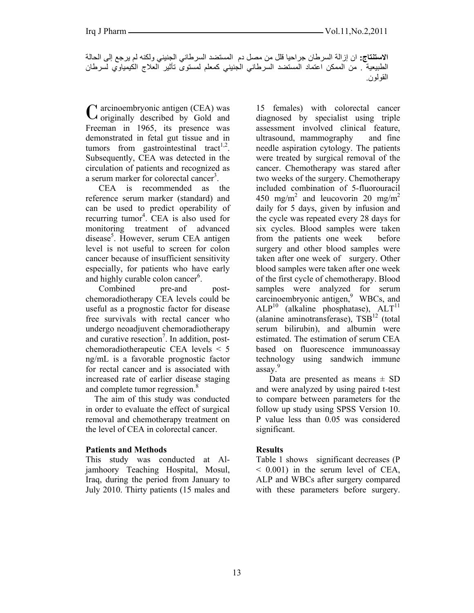**الاستنتاج:** ان إزالة السرطان جراحيا قلل من مصل دم المستضد السرطاني الجنيني ولكنه لم يرجع إلى الحالة الطبيعية . من الممكن اعتماد المستضد السرطاني الجنيني كمعلم لمستوى تأثير العلاج الكيمياوي لسرطان القولون.

arcinoembryonic antigen (CEA) was  $C$  arcinoembryonic antigen (CEA) was<br>  $C$  originally described by Gold and Freeman in 1965, its presence was demonstrated in fetal gut tissue and in tumors from gastrointestinal tract<sup>1,2</sup>. Subsequently, CEA was detected in the circulation of patients and recognized as a serum marker for colorectal cancer<sup>3</sup>.

 CEA is recommended as the reference serum marker (standard) and can be used to predict operability of recurring tumor<sup>4</sup>. CEA is also used for monitoring treatment of advanced disease<sup>5</sup>. However, serum CEA antigen level is not useful to screen for colon cancer because of insufficient sensitivity especially, for patients who have early and highly curable colon cancer<sup>6</sup>.

Combined pre-and postchemoradiotherapy CEA levels could be useful as a prognostic factor for disease free survivals with rectal cancer who undergo neoadjuvent chemoradiotherapy and curative resection<sup>7</sup>. In addition, postchemoradiotherapeutic CEA levels < 5 ng/mL is a favorable prognostic factor for rectal cancer and is associated with increased rate of earlier disease staging and complete tumor regression.<sup>8</sup>

 The aim of this study was conducted in order to evaluate the effect of surgical removal and chemotherapy treatment on the level of CEA in colorectal cancer.

#### **Patients and Methods**

This study was conducted at Aljamhoory Teaching Hospital, Mosul, Iraq, during the period from January to July 2010. Thirty patients (15 males and 15 females) with colorectal cancer diagnosed by specialist using triple assessment involved clinical feature, ultrasound, mammography and fine needle aspiration cytology. The patients were treated by surgical removal of the cancer. Chemotherapy was stared after two weeks of the surgery. Chemotherapy included combination of 5-fluorouracil 450 mg/m<sup>2</sup> and leucovorin 20 mg/m<sup>2</sup> daily for 5 days, given by infusion and the cycle was repeated every 28 days for six cycles. Blood samples were taken from the patients one week before surgery and other blood samples were taken after one week of surgery. Other blood samples were taken after one week of the first cycle of chemotherapy. Blood samples were analyzed for serum carcinoembryonic antigen,<sup>9</sup> WBCs, and  $ALP<sup>10</sup>$  (alkaline phosphatase),  $ALT<sup>11</sup>$ (alanine aminotransferase),  $TSB<sup>12</sup>$  (total serum bilirubin), and albumin were estimated. The estimation of serum CEA based on fluorescence immunoassay technology using sandwich immune assay.<sup>9</sup>

Data are presented as means  $\pm$  SD and were analyzed by using paired t-test to compare between parameters for the follow up study using SPSS Version 10. P value less than 0.05 was considered significant.

#### **Results**

Table 1 shows significant decreases (P  $< 0.001$ ) in the serum level of CEA, ALP and WBCs after surgery compared with these parameters before surgery.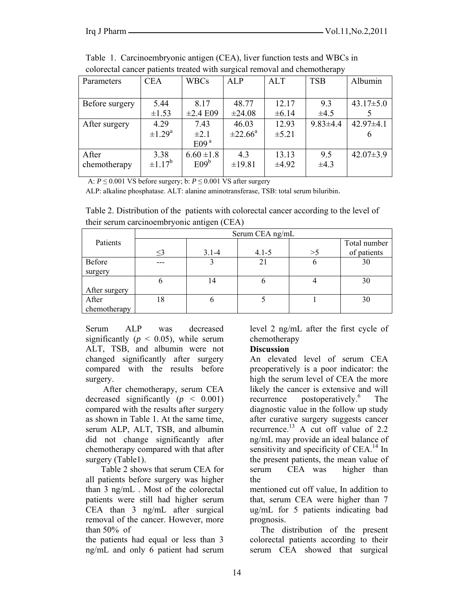| colorectal cancer patients treated with surgical reflioval and chemotherapy |                         |                  |                     |            |                |                 |  |
|-----------------------------------------------------------------------------|-------------------------|------------------|---------------------|------------|----------------|-----------------|--|
| Parameters                                                                  | <b>CEA</b>              | <b>WBCs</b>      | <b>ALP</b>          | ALT        | <b>TSB</b>     | Albumin         |  |
|                                                                             |                         |                  |                     |            |                |                 |  |
| Before surgery                                                              | 5.44                    | 8.17             | 48.77               | 12.17      | 9.3            | $43.17 \pm 5.0$ |  |
|                                                                             | $\pm 1.53$              | $\pm 2.4$ E09    | ±24.08              | ±6.14      | $\pm 4.5$      |                 |  |
| After surgery                                                               | 4.29                    | 7.43             | 46.03               | 12.93      | $9.83{\pm}4.4$ | $42.97\pm4.1$   |  |
|                                                                             | $\pm 1.29$ <sup>a</sup> | $\pm 2.1$        | $\pm 22.66^{\circ}$ | $\pm 5.21$ |                |                 |  |
|                                                                             |                         | E09 <sup>a</sup> |                     |            |                |                 |  |
| After                                                                       | 3.38                    | $6.60 \pm 1.8$   | 4.3                 | 13.13      | 9.5            | $42.07 \pm 3.9$ |  |
| chemotherapy                                                                | $\pm 1.17^b$            | E09 <sup>b</sup> | ±19.81              | $\pm 4.92$ | $\pm 4.3$      |                 |  |
|                                                                             |                         |                  |                     |            |                |                 |  |

Table 1. Carcinoembryonic antigen (CEA), liver function tests and WBCs in colorectal cancer patients treated with surgical removal and chemotherapy

A:  $P \le 0.001$  VS before surgery; b:  $P \le 0.001$  VS after surgery

ALP: alkaline phosphatase. ALT: alanine aminotransferase, TSB: total serum biluribin.

Table 2. Distribution of the patients with colorectal cancer according to the level of their serum carcinoembryonic antigen (CEA)

| ັ             |                 |           |           |          |              |  |  |
|---------------|-----------------|-----------|-----------|----------|--------------|--|--|
|               | Serum CEA ng/mL |           |           |          |              |  |  |
| Patients      |                 |           |           |          | Total number |  |  |
|               | $\leq$ 3        | $3.1 - 4$ | $4.1 - 5$ | $>\!\!5$ | of patients  |  |  |
| Before        |                 |           | 21        | O        | 30           |  |  |
| surgery       |                 |           |           |          |              |  |  |
|               | b               | 14        |           |          | 30           |  |  |
| After surgery |                 |           |           |          |              |  |  |
| After         | 18              |           |           |          | 30           |  |  |
| chemotherapy  |                 |           |           |          |              |  |  |

Serum ALP was decreased significantly ( $p < 0.05$ ), while serum ALT, TSB, and albumin were not changed significantly after surgery compared with the results before surgery.

 After chemotherapy, serum CEA decreased significantly  $(p < 0.001)$ compared with the results after surgery as shown in Table 1. At the same time, serum ALP, ALT, TSB, and albumin did not change significantly after chemotherapy compared with that after surgery (Table1).

 Table 2 shows that serum CEA for all patients before surgery was higher than 3 ng/mL . Most of the colorectal patients were still had higher serum CEA than 3 ng/mL after surgical removal of the cancer. However, more than 50% of

the patients had equal or less than 3 ng/mL and only 6 patient had serum level 2 ng/mL after the first cycle of chemotherapy

#### **Discussion**

An elevated level of serum CEA preoperatively is a poor indicator: the high the serum level of CEA the more likely the cancer is extensive and will recurrence postoperatively.<sup>6</sup> The diagnostic value in the follow up study after curative surgery suggests cancer recurrence.<sup>13</sup> A cut off value of  $2.2$ ng/mL may provide an ideal balance of sensitivity and specificity of CEA.<sup>14</sup> In the present patients, the mean value of serum CEA was higher than the

mentioned cut off value, In addition to that, serum CEA were higher than 7 ug/mL for 5 patients indicating bad prognosis.

 The distribution of the present colorectal patients according to their serum CEA showed that surgical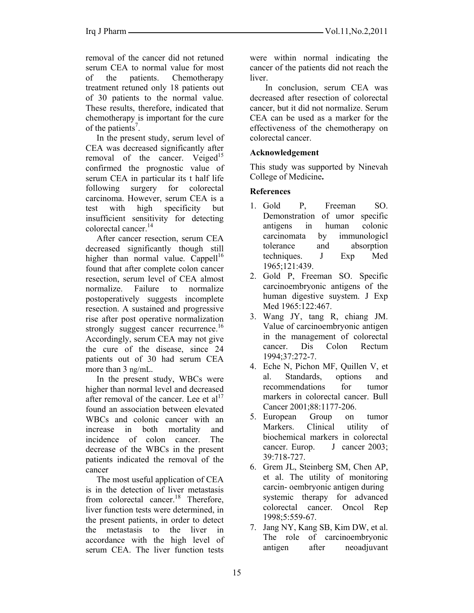removal of the cancer did not retuned serum CEA to normal value for most of the patients. Chemotherapy treatment retuned only 18 patients out of 30 patients to the normal value. These results, therefore, indicated that chemotherapy is important for the cure of the patients<sup>7</sup>.

 In the present study, serum level of CEA was decreased significantly after removal of the cancer. Veiged $15$ confirmed the prognostic value of serum CEA in particular its t half life following surgery for colorectal carcinoma. However, serum CEA is a test with high specificity but insufficient sensitivity for detecting colorectal cancer.14

 After cancer resection, serum CEA decreased significantly though still higher than normal value. Cappell<sup>16</sup> found that after complete colon cancer resection, serum level of CEA almost normalize. Failure to normalize postoperatively suggests incomplete resection. A sustained and progressive rise after post operative normalization strongly suggest cancer recurrence.<sup>16</sup> Accordingly, serum CEA may not give the cure of the disease, since 24 patients out of 30 had serum CEA more than 3 ng/mL.

 In the present study, WBCs were higher than normal level and decreased after removal of the cancer. Lee et  $al<sup>17</sup>$ found an association between elevated WBCs and colonic cancer with an increase in both mortality and incidence of colon cancer. The decrease of the WBCs in the present patients indicated the removal of the cancer

 The most useful application of CEA is in the detection of liver metastasis from colorectal cancer.<sup>18</sup> Therefore, liver function tests were determined, in the present patients, in order to detect the metastasis to the liver in accordance with the high level of serum CEA. The liver function tests

were within normal indicating the cancer of the patients did not reach the liver.

 In conclusion, serum CEA was decreased after resection of colorectal cancer, but it did not normalize. Serum CEA can be used as a marker for the effectiveness of the chemotherapy on colorectal cancer.

## **Acknowledgement**

This study was supported by Ninevah College of Medicine**.** 

### **References**

- 1. Gold P, Freeman SO. Demonstration of umor specific antigens in human colonic carcinomata by immunologicl tolerance and absorption techniques. J Exp Med 1965;121:439.
- 2. Gold P, Freeman SO. Specific carcinoembryonic antigens of the human digestive suystem. J Exp Med 1965:122:467.
- 3. Wang JY, tang R, chiang JM. Value of carcinoembryonic antigen in the management of colorectal cancer. Dis Colon Rectum 1994;37:272-7.
- 4. Eche N, Pichon MF, Quillen V, et al. Standards, options and recommendations for tumor markers in colorectal cancer. Bull Cancer 2001;88:1177-206.
- 5. European Group on tumor Markers. Clinical utility of biochemical markers in colorectal cancer. Europ. J cancer 2003; 39:718-727.
- 6. Grem JL, Steinberg SM, Chen AP, et al. The utility of monitoring carcin- oembryonic antigen during systemic therapy for advanced colorectal cancer. Oncol Rep 1998;5:559-67.
- 7. Jang NY, Kang SB, Kim DW, et al. The role of carcinoembryonic antigen after neoadjuvant